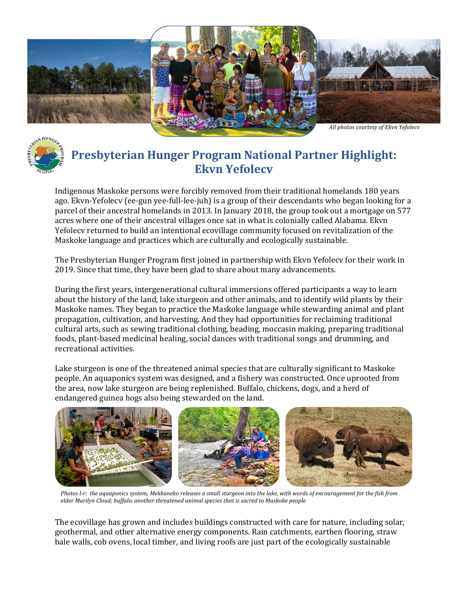



## **Presbyterian Hunger Program National Partner Highlight: Ekvn Yefolecv**

Indigenous Maskoke persons were forcibly removed from their traditional homelands 180 years ago. Ekvn-Yefolecv (ee-gun yee-full-lee-juh) is a group of their descendants who began looking for a parcel of their ancestral homelands in 2013. In January 2018, the group took out a mortgage on 577 acres where one of their ancestral villages once sat in what is colonially called Alabama. Ekvn Yefolecv returned to build an intentional ecovillage community focused on revitalization of the Maskoke language and practices which are culturally and ecologically sustainable.

The Presbyterian Hunger Program first joined in partnership with Ekvn Yefolecv for their work in 2019. Since that time, they have been glad to share about many advancements.

During the first years, intergenerational cultural immersions offered participants a way to learn about the history of the land, lake sturgeon and other animals, and to identify wild plants by their Maskoke names. They began to practice the Maskoke language while stewarding animal and plant propagation, cultivation, and harvesting. And they had opportunities for reclaiming traditional cultural arts, such as sewing traditional clothing, beading, moccasin making, preparing traditional foods, plant-based medicinal healing, social dances with traditional songs and drumming, and recreational activities.

Lake sturgeon is one of the threatened animal species that are culturally significant to Maskoke people. An aquaponics system was designed, and a fishery was constructed. Once uprooted from the area, now lake sturgeon are being replenished. Buffalo, chickens, dogs, and a herd of endangered guinea hogs also being stewarded on the land.



*Photos l-r: the aquaponics system; Mekkaneko releases a small sturgeon into the lake, with words of encouragement for the fish from elder Marilyn Cloud; buffalo, another threatened animal species that is sacred to Maskoke people*

The ecovillage has grown and includes buildings constructed with care for nature, including solar, geothermal, and other alternative energy components. Rain catchments, earthen flooring, straw bale walls, cob ovens, local timber, and living roofs are just part of the ecologically sustainable